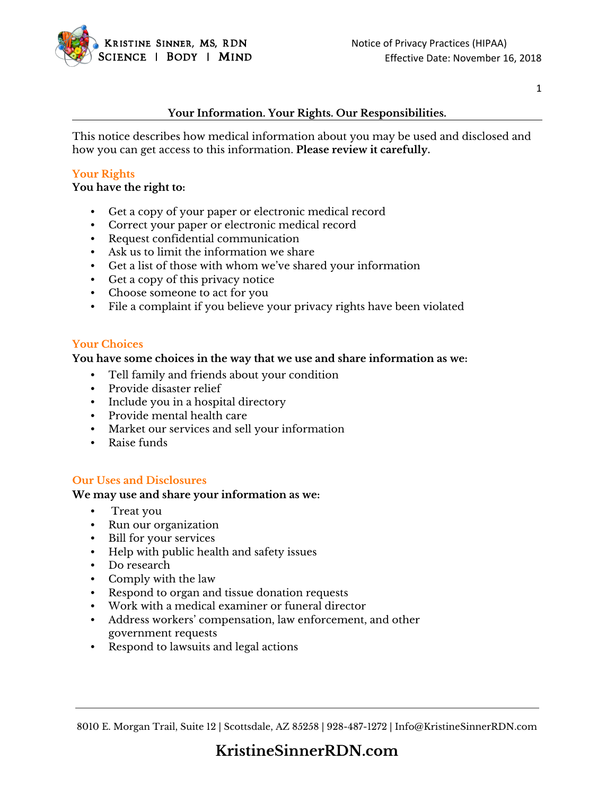

# **Your Information. Your Rights. Our Responsibilities.**

This notice describes how medical information about you may be used and disclosed and how you can get access to this information. **Please review it carefully.**

# **Your Rights**

**You have the right to:**

- Get a copy of your paper or electronic medical record
- Correct your paper or electronic medical record
- Request confidential communication
- Ask us to limit the information we share
- Get a list of those with whom we've shared your information
- Get a copy of this privacy notice
- Choose someone to act for you
- File a complaint if you believe your privacy rights have been violated

# **Your Choices**

# **You have some choices in the way that we use and share information as we:**

- Tell family and friends about your condition
- Provide disaster relief
- Include you in a hospital directory
- Provide mental health care
- Market our services and sell your information
- Raise funds

# **Our Uses and Disclosures**

# **We may use and share your information as we:**

- Treat you
- Run our organization
- Bill for your services
- Help with public health and safety issues
- Do research
- Comply with the law
- Respond to organ and tissue donation requests
- Work with a medical examiner or funeral director
- Address workers' compensation, law enforcement, and other government requests
- Respond to lawsuits and legal actions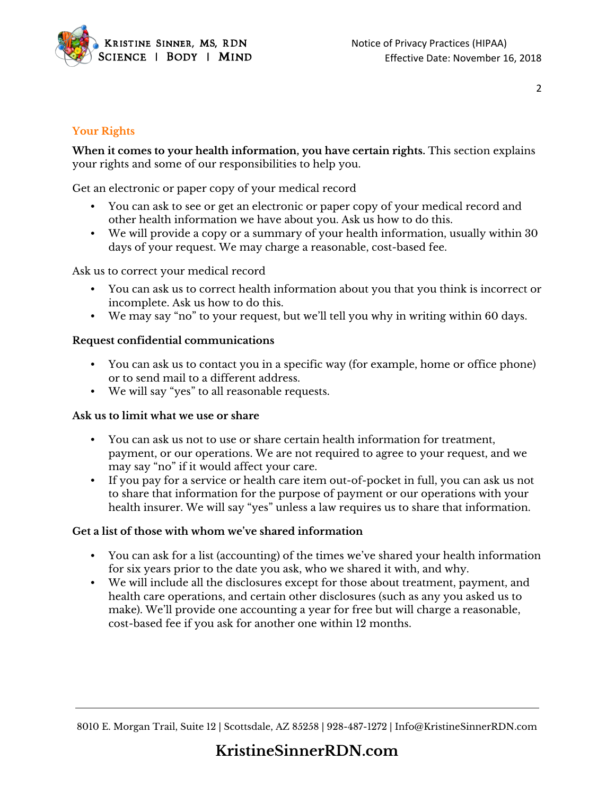

# **Your Rights**

**When it comes to your health information, you have certain rights.** This section explains your rights and some of our responsibilities to help you.

Get an electronic or paper copy of your medical record

- You can ask to see or get an electronic or paper copy of your medical record and other health information we have about you. Ask us how to do this.
- We will provide a copy or a summary of your health information, usually within 30 days of your request. We may charge a reasonable, cost-based fee.

Ask us to correct your medical record

- You can ask us to correct health information about you that you think is incorrect or incomplete. Ask us how to do this.
- We may say "no" to your request, but we'll tell you why in writing within 60 days.

# **Request confidential communications**

- You can ask us to contact you in a specific way (for example, home or office phone) or to send mail to a different address.
- We will say "yes" to all reasonable requests.

# **Ask us to limit what we use or share**

- You can ask us not to use or share certain health information for treatment, payment, or our operations. We are not required to agree to your request, and we may say "no" if it would affect your care.
- If you pay for a service or health care item out-of-pocket in full, you can ask us not to share that information for the purpose of payment or our operations with your health insurer. We will say "yes" unless a law requires us to share that information.

# **Get a list of those with whom we've shared information**

- You can ask for a list (accounting) of the times we've shared your health information for six years prior to the date you ask, who we shared it with, and why.
- We will include all the disclosures except for those about treatment, payment, and health care operations, and certain other disclosures (such as any you asked us to make). We'll provide one accounting a year for free but will charge a reasonable, cost-based fee if you ask for another one within 12 months.

8010 E. Morgan Trail, Suite 12 | Scottsdale, AZ 85258 | 928-487-1272 | Info@KristineSinnerRDN.com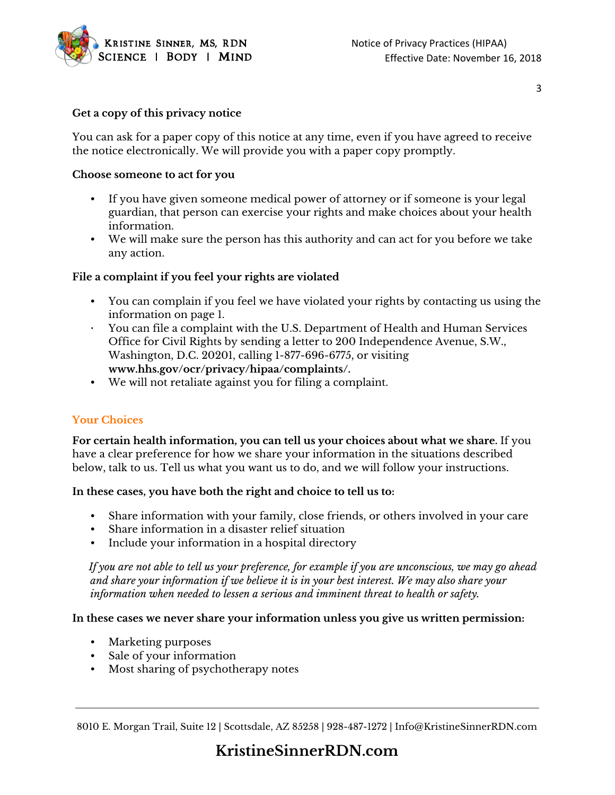

# **Get a copy of this privacy notice**

You can ask for a paper copy of this notice at any time, even if you have agreed to receive the notice electronically. We will provide you with a paper copy promptly.

### **Choose someone to act for you**

- If you have given someone medical power of attorney or if someone is your legal guardian, that person can exercise your rights and make choices about your health information.
- We will make sure the person has this authority and can act for you before we take any action.

# **File a complaint if you feel your rights are violated**

- You can complain if you feel we have violated your rights by contacting us using the information on page 1.
- You can file a complaint with the U.S. Department of Health and Human Services Office for Civil Rights by sending a letter to 200 Independence Avenue, S.W., Washington, D.C. 20201, calling 1-877-696-6775, or visiting **www.hhs.gov/ocr/privacy/hipaa/complaints/.**
- We will not retaliate against you for filing a complaint.

# **Your Choices**

**For certain health information, you can tell us your choices about what we share.** If you have a clear preference for how we share your information in the situations described below, talk to us. Tell us what you want us to do, and we will follow your instructions.

# **In these cases, you have both the right and choice to tell us to:**

- Share information with your family, close friends, or others involved in your care
- Share information in a disaster relief situation
- Include your information in a hospital directory

If you are not able to tell us your preference, for example if you are unconscious, we may go ahead *and share your information if we believe it is in your best interest. We may also share your information when needed to lessen a serious and imminent threat to health or safety.*

**In these cases we never share your information unless you give us written permission:**

- Marketing purposes
- Sale of your information
- Most sharing of psychotherapy notes

8010 E. Morgan Trail, Suite 12 | Scottsdale, AZ 85258 | 928-487-1272 | Info@KristineSinnerRDN.com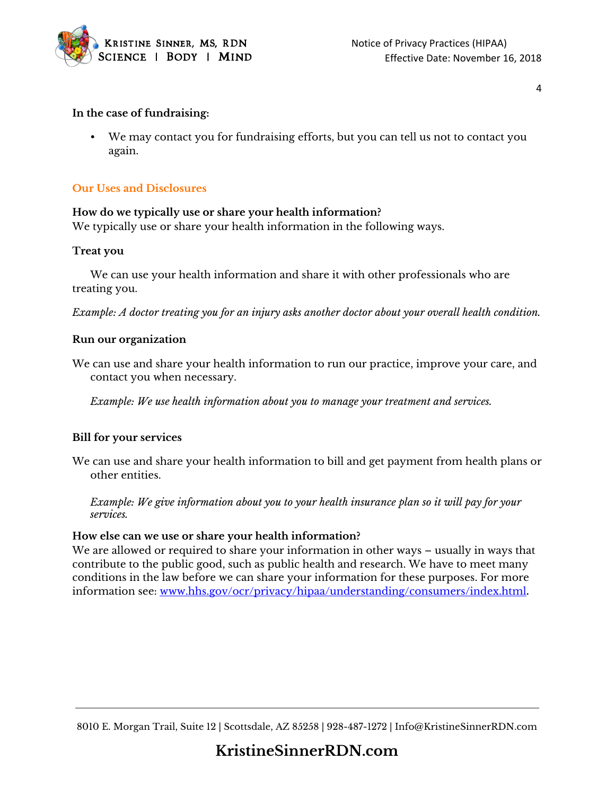

# **In the case of fundraising:**

• We may contact you for fundraising efforts, but you can tell us not to contact you again.

# **Our Uses and Disclosures**

# **How do we typically use or share your health information?**

We typically use or share your health information in the following ways.

### **Treat you**

We can use your health information and share it with other professionals who are treating you.

*Example: A doctor treating you for an injury asks another doctor about your overall health condition.*

### **Run our organization**

We can use and share your health information to run our practice, improve your care, and contact you when necessary.

*Example: We use health information about you to manage your treatment and services.*

# **Bill for your services**

We can use and share your health information to bill and get payment from health plans or other entities.

*Example: We give information about you to your health insurance plan so it will pay for your services.*

# **How else can we use or share your health information?**

We are allowed or required to share your information in other ways – usually in ways that contribute to the public good, such as public health and research. We have to meet many conditions in the law before we can share your information for these purposes. For more information see: [www.hhs.gov/ocr/privacy/hipaa/understanding/consumers/index.html](http://www.hhs.gov/ocr/privacy/hipaa/understanding/consumers/index.html)**.**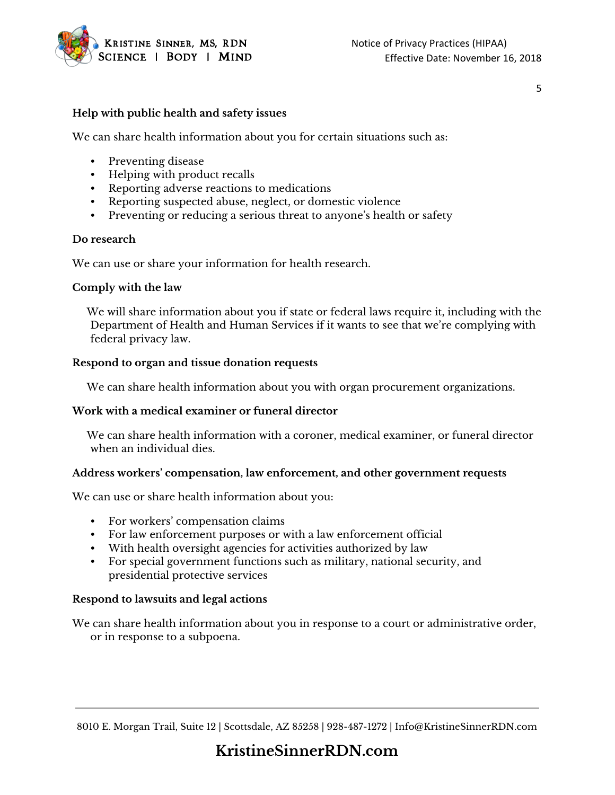

# **Help with public health and safety issues**

We can share health information about you for certain situations such as:

- Preventing disease
- Helping with product recalls
- Reporting adverse reactions to medications
- Reporting suspected abuse, neglect, or domestic violence
- Preventing or reducing a serious threat to anyone's health or safety

#### **Do research**

We can use or share your information for health research.

#### **Comply with the law**

We will share information about you if state or federal laws require it, including with the Department of Health and Human Services if it wants to see that we're complying with federal privacy law.

#### **Respond to organ and tissue donation requests**

We can share health information about you with organ procurement organizations.

### **Work with a medical examiner or funeral director**

We can share health information with a coroner, medical examiner, or funeral director when an individual dies.

#### **Address workers' compensation, law enforcement, and other government requests**

We can use or share health information about you:

- For workers' compensation claims
- For law enforcement purposes or with a law enforcement official
- With health oversight agencies for activities authorized by law
- For special government functions such as military, national security, and presidential protective services

#### **Respond to lawsuits and legal actions**

We can share health information about you in response to a court or administrative order, or in response to a subpoena.

8010 E. Morgan Trail, Suite 12 | Scottsdale, AZ 85258 | 928-487-1272 | Info@KristineSinnerRDN.com